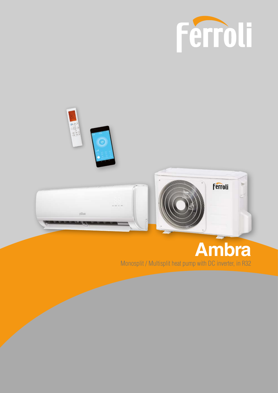



# **Ambra**

Monosplit / Multisplit heat pump with DC inverter, in R32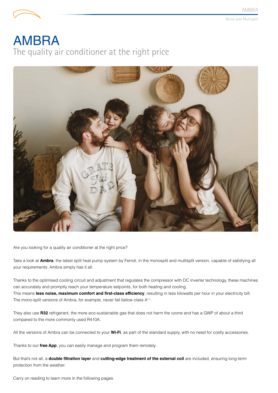

# AMBRA The quality air conditioner at the right price



Are you looking for a quality air conditioner at the right price?

Take a look at **Ambra**, the latest split heat pump system by Ferroli, in the monosplit and multisplit version, capable of satisfying all your requirements. Ambra simply has it all.

Thanks to the optimised cooling circuit and adjustment that regulates the compressor with DC inverter technology, these machines can accurately and promptly reach your temperature setpoints, for both heating and cooling. This means **less noise, maximum comfort and first-class efficiency**, resulting in less kilowatts per hour in your electricity bill. The mono-split versions of Ambra, for example, never fall below class A<sup>++</sup>.

They also use **R32** refrigerant, the more eco-sustainable gas that does not harm the ozone and has a GWP of about a third compared to the more commonly used R410A.

All the versions of Ambra can be connected to your **Wi-Fi**, as part of the standard supply, with no need for costly accessories.

Thanks to our **free App**, you can easily manage and program them remotely.

But that's not all, a **double filtration layer** and **cutting-edge treatment of the external coil** are included, ensuring long-term protection from the weather.

Carry on reading to learn more in the following pages.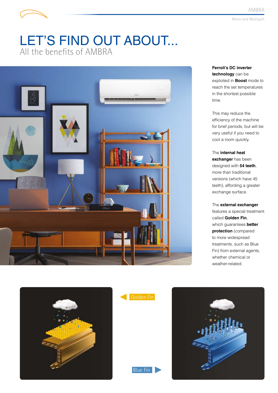## LET'S FIND OUT ABOUT... All the benefits of AMBRA



**Ferroli's DC inverter technology** can be exploited in **Boost** mode to reach the set temperatures in the shortest possible time.

This may reduce the efficiency of the machine for brief periods, but will be very useful if you need to cool a room quickly.

The **internal heat exchanger** has been designed with **54 teeth**, more than traditional versions (which have 45 teeth), affording a greater exchange surface.

The **external exchanger** features a special treatment called **Golden Fin**, which guarantees **better protection** (compared to more widespread treatments, such as Blue Fin) from external agents, whether chemical or weather-related.





Blue Fin

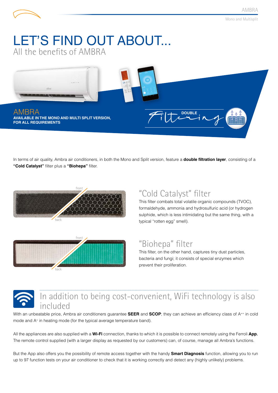## LET'S FIND OUT ABOUT... All the benefits of AMBRA



In terms of air quality, Ambra air conditioners, in both the Mono and Split version, feature a **double filtration layer**, consisting of a **"Cold Catalyst"** filter plus a **"Biohepa"** filter.





### "Cold Catalyst" filter

This filter combats total volatile organic compounds (TVOC), formaldehyde, ammonia and hydrosulfuric acid (or hydrogen sulphide, which is less intimidating but the same thing, with a typical "rotten egg" smell).

#### "Biohepa" filter

This filter, on the other hand, captures tiny dust particles, bacteria and fungi; it consists of special enzymes which prevent their proliferation.

### In addition to being cost-convenient, WiFi technology is also included

With an unbeatable price, Ambra air conditioners guarantee **SEER** and **SCOP**; they can achieve an efficiency class of A++ in cold mode and A<sup>+</sup> in heating mode (for the typical average temperature band).

All the appliances are also supplied with a **Wi-Fi** connection, thanks to which it is possible to connect remotely using the Ferroli **App**. The remote control supplied (with a larger display as requested by our customers) can, of course, manage all Ambra's functions.

But the App also offers you the possibility of remote access together with the handy **Smart Diagnosis** function, allowing you to run up to 97 function tests on your air conditioner to check that it is working correctly and detect any (highly unlikely) problems.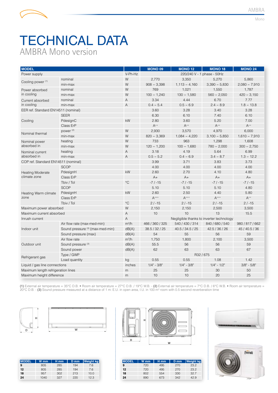

Mono

## TECHNICAL DATA AMBRA Mono version

| <b>MODEL</b>                        |                                  |                           | <b>MONO 09</b>    | <b>MONO 12</b>                           | <b>MONO 18</b>             | <b>MONO 24</b>     |
|-------------------------------------|----------------------------------|---------------------------|-------------------|------------------------------------------|----------------------------|--------------------|
| Power supply                        |                                  | V-Ph-Hz                   |                   |                                          | 220/240 V - 1 phase - 50Hz |                    |
| Cooling power <sup>(1)</sup>        | nominal                          | W                         | 2,770             | 3,350                                    | 5,270                      | 5,860              |
|                                     | min-max                          | W                         | $908 \sim 3,398$  | $1,113 - 4,160$                          | $3,390 \sim 5,830$         | $2,080 \sim 7,910$ |
| Power absorbed                      | nominal                          | W                         | 769               | 1,021                                    | 1,550                      | 1,787              |
| in cooling                          | min-max                          | W                         | $100 \sim 1,240$  | $130 \sim 1,580$                         | $560 \sim 2,050$           | $420 \sim 3,150$   |
| Current absorbed                    | nominal                          | $\overline{A}$            | 3.34              | 4.44                                     |                            | 7.77               |
| in cooling                          | min-max                          | $\overline{A}$            | $0.4 \sim 5.4$    | $0.5 \sim 6.9$                           | $2.4 \sim 8.9$             | $1.8 \sim 13.8$    |
| EER ref. Standard EN14511 (nominal) |                                  |                           | 3.60              | 3.28                                     | 3.40                       | 3.28               |
|                                     | <b>SEER</b>                      |                           | 6.30              | 6.10                                     | 7.40                       | 6.10               |
| Cooling                             | PdesignC                         | kW                        | 2.80              | 3.60                                     | 5.20                       | 7.00               |
|                                     | Class ErP                        |                           | $\mathsf{A}^{++}$ | $\mathsf{A}^{**}$                        | $A^{++}$                   | $A^{++}$           |
| Nominal thermal                     | power <sup>(2)</sup>             | W                         | 2,930             | 3,570                                    | 4,970                      | 6,000              |
|                                     | min-max                          | W                         | $820 \sim 3,369$  | $1,084 - 4,220$                          | $3,100 \sim 5,850$         | $1,610 \sim 7,910$ |
| Nominal power                       | heating                          | W                         | 733               | 963                                      | 1,298                      | 1,608              |
| absorbed in                         | min-max                          | W                         | $120 \sim 1,200$  | $100 \sim 1,680$                         | $780 \sim 2,000$           | $300 \sim 2,750$   |
| Nominal current                     | heating                          | $\overline{A}$            | 3.18              | 4.19                                     | 5.64                       | 6.99               |
| absorbed in                         | min-max                          | $\overline{A}$            | $0.5 \sim 5.2$    | $0.4 \sim 6.9$                           | $3.4 \sim 8.7$             | $1.3 \sim 12.2$    |
| COP ref. Standard EN14511 (nominal) |                                  |                           | 3.99              | 3.71                                     | 3.83                       | 3.73               |
|                                     | <b>SCOP</b>                      |                           | 4.00              | 4.00                                     | 4.00                       | 4.00               |
| <b>Heating Moderate</b>             | PdesignH                         | kW                        | 2.60              | 2.70                                     | 4.10                       | 4.80               |
| climate zone                        | Class ErP                        |                           | $A+$              | $A+$                                     | $A+$                       | $A+$               |
|                                     | Tbiv / Tol                       | $^{\circ}C$               | $-7/ -15$         | $-7/ -15$                                | $-7/ -15$                  | $-7/ -15$          |
|                                     | <b>SCOP</b>                      |                           | 5.10              | 5.10                                     | 5.10                       | 4.80               |
| Heating Warm climate                | PdesignH                         | kW                        | 2.60              | 2.50                                     | 4.40                       | 5.80               |
| zone                                | Class ErP                        |                           | $A^{++}$          | $A^{++}$                                 | $A^{+++}$                  | $\mathsf{A}^{++}$  |
|                                     | Tbiv / Tol                       | $\rm ^{\circ}C$           | $2/ -15$          | $2/ -15$                                 | $2/ -15$                   | $2/ -15$           |
| Maximum power absorbed              |                                  | W                         | 2,150             | 2,150                                    | 2,500                      | 3,500              |
| Maximum current absorbed            |                                  | $\boldsymbol{\mathsf{A}}$ | 10                | 10                                       | 13                         | 15.5               |
| Inrush current                      |                                  | $\overline{A}$            |                   | Negligible thanks to inverter technology |                            |                    |
|                                     | Air flow rate (max-med-min)      | $m^3/h$                   | 466 / 360 / 325   | 540 / 430 / 314                          | 840 / 680 / 540            | 980 / 817 / 662    |
| Indoor unit                         | Sound pressure (3) (max-med-min) | dB(A)                     | 38.5 / 32 / 25    | 40.5 / 34.5 / 25                         | 42.5 / 36 / 26             | 45 / 40.5 / 36     |
|                                     | Sound pressure (max)             | dB(A)                     | 54                | 55                                       | 56                         | 59                 |
|                                     | Air flow rate                    | $m^3/h$                   | 1,750             | 1,800                                    | 2,100                      | 3,500              |
| Outdoor unit                        | Sound pressure (3)               | dB(A)                     | 55.5              | 56                                       | 56                         | 59                 |
|                                     | Sound power                      | dB(A)                     | 62                | 63                                       | 63                         | 67                 |
| Refrigerant gas                     | Type / GWP                       |                           |                   |                                          | R32 / 675                  |                    |
|                                     | Load quantity                    | kg                        | 0.55              | 0.55                                     | 1.08                       | 1.42               |
| Liquid / gas line connections       |                                  | inches                    | $1/4" - 3/8"$     | $1/4$ " - $3/8$ "                        | $1/4$ " - $1/2$ "          | $3/8" - 5/8"$      |
| Maximum length refrigeration lines  |                                  | m                         | 25                | 25                                       | 30                         | 50                 |
| Maximum height difference           |                                  | m                         | 10                | 10                                       | 20                         | 25                 |

**(1)** External air temperature = 35°C D.B. • Room air temperature = 27°C D.B. / 19°C W.B. - **(2)** External air temperature = 7°C D.B. / 6°C W.B. • Room air temperature = 20°C D.B. - **(3)** Sound pressure measured at a distance of 1 m: E.U. in open area, I.U. in 100 m3 room with 0.5 second reverberation time





| <b>MODEL</b> | W mm | H <sub>mm</sub> | D mm | <b>Weight kg</b> |
|--------------|------|-----------------|------|------------------|
| 9            | 805  | 285             | 194  | 7.6              |
| 12           | 805  | 285             | 194  | 7.6              |
| 18           | 957  | 302             | 213  | 10.0             |
| 24           | 1040 | 327             | 220  | 12.3             |



| <b>MODEL</b> | W <sub>mm</sub> | H <sub>mm</sub> | D <sub>mm</sub> | <b>Weight kg</b> |
|--------------|-----------------|-----------------|-----------------|------------------|
| 9            | 720             | 495             | 270             | 23.2             |
| 12           | 720             | 495             | 270             | 23.2             |
| 18           | 802             | 554             | 330             | 32.7             |
| 24           | 890             | 673             | 342             | 429              |



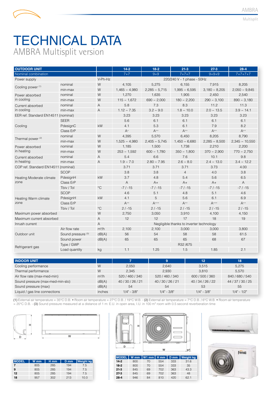# TECHNICAL DATA AMBRA Multisplit version

| <b>OUTDOOR UNIT</b>                 |                    |                | $14 - 2$         | $18-2$             | $21-3$                                   | $27-3$             | $28 - 4$            |
|-------------------------------------|--------------------|----------------|------------------|--------------------|------------------------------------------|--------------------|---------------------|
| Nominal combination                 |                    |                | $7 + 7$          | $9 + 9$            | $7 + 7 + 7$                              | $9 + 9 + 9$        | $7 + 7 + 7 + 7$     |
| Power supply                        |                    | V-Ph-Hz        |                  |                    | 220/240 V - 1 phase - 50Hz               |                    |                     |
| Cooling power <sup>(1)</sup>        | nominal            | W              | 4.105            | 5,275              | 6,155                                    | 7,915              | 8,205               |
|                                     | min-max            | W              | $1,465 - 4,980$  | $2,285 \sim 5,715$ | $1,995 \sim 6,595$                       |                    | $2,050 \sim 9,845$  |
| Power absorbed                      | nominal            | W              | 1,270            | 1,635              | 1,905                                    | 2,450              | 2,540               |
| in cooling                          | min-max            | W              | $115 \sim 1,672$ | $690 \sim 2,000$   | $180 \sim 2,200$                         | $290 \sim 3,100$   | $890 \sim 3,180$    |
| Current absorbed                    | nominal            | $\overline{A}$ | 5.8              | 7.3                | 8.3                                      | 11.2               | 11.3                |
| in cooling                          | min-max            | A              | $1.12 \sim 7.35$ | $3.2 \sim 9.0$     | $1.8 \sim 10.0$                          | $2.0 \sim 13.5$    | $3.9 \sim 14.1$     |
| EER ref. Standard EN14511 (nominal) |                    |                | 3.23             | 3.23               | 3.23                                     | 3.23               | 3.23                |
|                                     | <b>SEER</b>        |                | 5.6              | 6.1                | 6.1                                      | 6.1                | 6.1                 |
| Cooling                             | PdesignC           | kW             | 4.1              | 5.3                | 6.1                                      | 7.9                | 8.2                 |
|                                     | Class ErP          |                | $A^+$            | $A^{++}$           | $A^{++}$                                 | $A^{++}$           | $A^{++}$            |
| Thermal power <sup>(2)</sup>        | nominal            | W              | 4,395            | 5,570              | 6,450                                    | 8,205              | 8,790               |
|                                     | min-max            | W              | $1,525 - 4,980$  | $2,405 \sim 5,745$ | $1,450 - 6,680$                          | $2,285 \sim 8,500$ | $2,345 \sim 10,550$ |
| Power absorbed                      | nominal            | W              | 1,185            | 1,500              | 1,738                                    | 2,210              | 2,200               |
| in heating                          | min-max            | W              | $253 \sim 1,592$ | $600 \sim 1,780$   | $350 \sim 1,800$                         | $370 \sim 2,900$   | $770 \sim 2,750$    |
| Current absorbed                    | nominal            | A              | 5.4              | 6.6                | 7.6                                      | 10.1               | 9.8                 |
| in heating                          | min-max            | $\overline{A}$ | $1.9 - 7.0$      | $2.80 \sim 7.95$   | $2.6 \sim 8.0$                           | $2.4 \sim 13.0$    | $3.4 \sim 12.2$     |
| COP ref. Standard EN14511 (nominal) |                    |                | 3.71             | 3.71               | 3.71                                     | 3.73               | 4.00                |
|                                     | <b>SCOP</b>        |                | 3.8              | 3.8                | $\overline{4}$                           | 4.0                | 3.8                 |
| Heating Moderate climate            | PdesignH           | kW             | 3.7              | 4.8                | 5.4                                      | 5.6                | 6.5                 |
| zone                                | Class ErP          |                | A                | $A+$               | $A+$                                     | $A+$               | $\overline{A}$      |
|                                     | Tbiv / Tol         | $^{\circ}C$    | $-7/ -15$        | $-7/ -15$          | $-7/ -15$                                | $-7/ -15$          | $-7/ -15$           |
|                                     | <b>SCOP</b>        |                | 4.6              | 5.1                | 4.8                                      | 5.1                | 4.6                 |
| Heating Warm climate                | PdesignH           | kW             | 4.1              | 5                  | 5.6                                      | 6.1                | 6.9                 |
| zone                                | Class ErP          |                | $A^{++}$         | $A^{+++}$          | $A^{++}$                                 | $A^{+++}$          | $A^{++}$            |
|                                     | Tbiv / Tol         | $^{\circ}C$    | $2/ -15$         | $2/ -15$           | $2/ -15$                                 | $2/ -15$           | $2/ -15$            |
| Maximum power absorbed              |                    | W              | 2,750            | 3,050              | 3,910                                    | 4,100              | 4,150               |
| Maximum current absorbed            |                    | $\overline{A}$ | 12               | 12                 | 17                                       | 18                 | 19                  |
| Inrush current                      |                    | $\overline{A}$ |                  |                    | Negligible thanks to inverter technology |                    |                     |
|                                     | Air flow rate      | $m^3/h$        | 2,100            | 2,100              | 3,000                                    | 3,000              | 3,800               |
| Outdoor unit                        | Sound pressure (3) | dB(A)          | 56               | 54                 | 58                                       | 58                 | 61.5                |
|                                     | Sound power        | dB(A)          | 65               | 65                 | 65                                       | 68                 | 67                  |
| Refrigerant gas                     | Type / GWP         |                |                  |                    | R32 /675                                 |                    |                     |
|                                     | Load quantity      | kg             | 1.1              | 1.25               | 1.5                                      | 1.85               | 2.1                 |

| <b>INDOOR UNIT</b>               |         |                   | 9                 | 12                | 18                |
|----------------------------------|---------|-------------------|-------------------|-------------------|-------------------|
| Cooling performance              | W       | 2,050             | 2,640             | 3,515             | 5,275             |
| Thermal performance              | W       | 2.345             | 2.930             | 3.810             | 5.570             |
| Air flow rate (max-med-min)      | $m^3/h$ | 520 / 460 / 340   | 520 / 460 / 340   | 600 / 500 / 360   | 840 / 680 / 540   |
| Sound pressure (max-med-min-slo) | dB(A)   | 40 / 30 / 26 / 21 | 40 / 30 / 26 / 21 | 40 / 34 / 26 / 22 | 44 / 37 / 30 / 25 |
| Sound pressure (max)             | dB(A)   | 54                | 54                | 53                | 55                |
| Liquid / gas line connections    | inches  | $1/4$ " - $3/8$ " | $1/4" - 3/8"$     | $1/4$ " - $3/8$ " | $1/4$ " - $1/2$ " |

**(1)** External air temperature = 35°C D.B. • Room air temperature = 27°C D.B. / 19°C W.B. - **(2)** External air temperature = 7°C D.B. / 6°C W.B. • Room air temperature = 20°C D.B. - (3) Sound pressure measured at a distance of 1 m: E.U. in open area, I.U. in 100 m<sup>3</sup> room with 0.5 second reverberation time



| <b>MODEL</b> | W <sub>mm</sub> | H <sub>mm</sub> | D <sub>mm</sub> | <b>Weight kg</b> |
|--------------|-----------------|-----------------|-----------------|------------------|
|              | 805             | 285             | 194             | 7.5              |
| 9            | 805             | 285             | 194             | 7.5              |
| 12           | 805             | 285             | 194             | 7.5              |
| 18           | 957             | 302             | 213             | 10.0             |



| <b>MODEL</b> |     | W mm   W1 mm   H mm   D mm |     |     | <b>Weight kg</b> |
|--------------|-----|----------------------------|-----|-----|------------------|
| $14-2$       | 800 | 70                         | 554 | 333 | 31.6             |
| $18-2$       | 800 | 70                         | 554 | 333 | 35               |
| $21-3$       | 845 | 69                         | 702 | 363 | 43.3             |
| $27-3$       | 845 | 69                         | 702 | 363 | 48               |
| $28-4$       | 946 | 84                         | 810 | 420 | 62.1             |



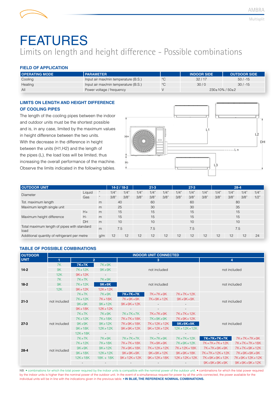## FEATURES Limits on length and height difference - Possible combinations

#### **FIELD OF APPLICATION**

| <b>OPERATING MODE</b> | <b>I PARAMETER</b>                   |             | <b>INDOOR SIDE</b>      | <b>OUTDOOR SIDE</b> |
|-----------------------|--------------------------------------|-------------|-------------------------|---------------------|
| Cooling               | Input air max/min temperature (B.S.) | °C          | 32/17                   | $50/ -15$           |
| Heating               | Input air max/min temperature (B.S.) | $^{\circ}C$ | 30/0                    | $30/ -15$           |
| All                   | Power voltage / frequency            |             | $230\pm10\%$ / $50\pm2$ |                     |

#### **LIMITS ON LENGTH AND HEIGHT DIFFERENCE OF COOLING PIPES**

The length of the cooling pipes between the indoor and outdoor units must be the shortest possible and is, in any case, limited by the maximum values in height difference between the two units. With the decrease in the difference in height between the units (H1,H2) and the length of the pipes (L), the load loss will be limited, thus increasing the overall performance of the machine. Observe the limits indicated in the following tables.



| <b>OUTDOOR UNIT</b>                                      |         | $14-2/18-2$ |      | $21 - 3$ |      |      | $27-3$ |      |      | $28 - 4$ |      |      |      |      |
|----------------------------------------------------------|---------|-------------|------|----------|------|------|--------|------|------|----------|------|------|------|------|
| <b>Diameter</b>                                          | Liquid  | $\alpha$    | 1/4" | 1/4"     | 1/4" | 1/4" | 1/4"   | 1/4" | 1/4" | 1/4"     | 1/4" | 1/4" | 1/4" | 1/4" |
|                                                          | Gas     | 66          | 3/8" | 3/8"     | 3/8" | 3/8" | 3/8"   | 3/8" | 3/8" | 3/8"     | 3/8" | 3/8" | 3/8" | 1/2" |
| Tot. maximum length                                      |         |             | 40   |          |      | 60   |        |      | 60   |          |      | 80   |      |      |
| Maximum length single unit                               |         | m           | 25   |          | 30   |      | 30     |      | 35   |          |      |      |      |      |
|                                                          | $H_{+}$ | m           | 15   |          |      | 15   |        |      | 15   |          | 15   |      |      |      |
| Maximum height difference                                | $H -$   | m           | 15   |          |      | 15   |        | 15   |      |          | 15   |      |      |      |
|                                                          | DH      | m           | 10   |          | 10   |      | 10     |      |      | 10       |      |      |      |      |
| Total maximum length of pipes with standard<br>m<br>load |         |             | 7.5  |          | 7.5  |      | 7.5    |      |      | 7.5      |      |      |      |      |
| Additional quantity of refrigerant per metre<br>g/m      |         |             | 12   | 12       | 12   | 12   | 12     | 12   | 12   | 12       | 12   | 12   | 12   | 24   |

#### **TABLE OF POSSIBLE COMBINATIONS**

| <b>OUTDOOR</b> |              |              |                |                                               | <b>INDOOR UNIT CONNECTED</b> |                   |               |                |  |  |
|----------------|--------------|--------------|----------------|-----------------------------------------------|------------------------------|-------------------|---------------|----------------|--|--|
| <b>UNIT</b>    |              |              | $\overline{2}$ |                                               | 3                            |                   |               | $\overline{4}$ |  |  |
|                | 7K           | <b>7K+7K</b> | $7K+9K$        |                                               |                              |                   |               |                |  |  |
| $14-2$         | 9K           | $7K+12K$     | $9K+9K$        |                                               | not included                 |                   | not included  |                |  |  |
|                | 12K          | 9K+12K       | $\sim$         |                                               |                              |                   |               |                |  |  |
|                | 7K           | $7K+7K$      | $7K+9K$        |                                               |                              |                   |               |                |  |  |
| $18-2$         | 9K           | 7K+12K       | $9K+9K$        |                                               | not included                 | not included      |               |                |  |  |
|                | 12K          | $9K+12K$     | $12K+12K$      |                                               |                              |                   |               |                |  |  |
|                |              | $7K+7K$      | $7K+9K$        | 7K+7K+7K                                      | 7K+7K+9K                     | 7K+7K+12K         |               |                |  |  |
|                | not included | 7K+12K       | 7K+18K         | $7K+9K+9K$                                    | 7K+9K+12K                    | $9K+9K+9K$        |               |                |  |  |
| $21 - 3$       |              | $9K+9K$      | $9K+12K$       | $9K+9K+12K$                                   |                              |                   | not included  |                |  |  |
|                |              | 9K+18K       | $12K+12K$      | $\overline{\phantom{a}}$                      | $\overline{\phantom{a}}$     |                   |               |                |  |  |
|                |              | $7K+7K$      | $7K+9K$        | $7K+7K+7K$                                    | 7K+7K+9K                     | 7K+7K+12K         |               |                |  |  |
|                |              | $7K+12K$     | 7K+18K         | 7K+7K+18K                                     | 7K+9K+9K                     | 7K+9K+12K         |               |                |  |  |
| $27 - 3$       | not included | $9K+9K$      | $9K+12K$       | 7K+9K+18K                                     | 7K+12K+12K                   | $9K+9K+9K$        | not included  |                |  |  |
|                |              | $9K+18K$     | $12K+12K$      | $9K+9K+12K$                                   | $9K+12K+12K$                 | $12K + 12K + 12K$ |               |                |  |  |
|                |              | $12K+18K$    | $\sim$ $-$     |                                               |                              |                   |               |                |  |  |
|                |              | 7K+7K        | $7K+9K$        | $7K+7K+7K$                                    | 7K+7K+9K                     | 7K+7K+12K         | 7K+7K+7K+7K   | 7K+7K+7K+9K    |  |  |
|                |              | $7K+12K$     | 7K+18K         | 7K+7K+18K                                     | 7K+9K+9K                     | 7K+9K+12K         | 7K+7K+7K+12K  | 7K+7K+7K+18K   |  |  |
|                |              | $9K+9K$      | $9K+12K$       | 7K+9K+18K                                     | 7K+12K+12K                   | 7K+12K+18K        | 7K+7K+9K+9K   | 7K+7K+9K+12K   |  |  |
| $28 - 4$       | not included | $9K+18K$     | $12K+12K$      | $9K+9K+9K$                                    | $9K+9K+12K$                  | $9K+9K+18K$       | 7K+7K+12K+12K | 7K+9K+9K+9K    |  |  |
|                |              | $12K+18K$    | $18K + 18K$    | $9K+12K+12K$<br>$9K+12K+18K$<br>$12K+12K+12K$ |                              | 7K+9K+9K+12K      | 7K+9K+12K+12K |                |  |  |
|                |              |              |                |                                               |                              | $\sim$            | $9K+9K+9K+9K$ | $9K+9K+9K+12K$ |  |  |

NB: • combinations for which the total power required by the indoor units is compatible with the nominal power of the outdoor unit. • combinations for which the total power required by the indoor units is higher than the nominal power of the outdoor unit. In the event of a simultaneous request for power by all the units connected, the power available for the individual units will be in line with the indications given in the previous table. **• IN BLUE, THE REFERENCE NOMINAL COMBINATIONS.**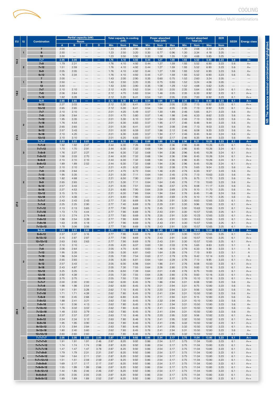**NB: The reference nominal combinations highlighted.**

NB: The reference nominal combinations highlighted.



|                 | Partial capacity (kW)   |                                      |                        |                          |                                  | <b>Total capacity in cooling</b><br><b>Power absorbed</b> |              |                    |                    | <b>Current absorbed</b> |                    | EER                |              |                    |                    |                    |                   |                     |
|-----------------|-------------------------|--------------------------------------|------------------------|--------------------------|----------------------------------|-----------------------------------------------------------|--------------|--------------------|--------------------|-------------------------|--------------------|--------------------|--------------|--------------------|--------------------|--------------------|-------------------|---------------------|
| EU <sup>1</sup> | <b>IU</b>               | <b>Combination</b>                   |                        |                          | Room                             |                                                           |              | (kW)               |                    |                         | Total (kW)         |                    |              | Total (A)          |                    |                    | <b>SEER</b>       | <b>Energy class</b> |
|                 |                         | $\overline{7}$                       | $\overline{A}$<br>2.00 | в                        | с                                | D                                                         | Min<br>1.23  | <b>Nom</b><br>2.00 | <b>Max</b><br>2.90 | <b>Min</b><br>0.30      | <b>Nom</b><br>0.62 | <b>Max</b><br>0.77 | Min<br>1.30  | <b>Nom</b><br>2.68 | <b>Max</b><br>3.34 | <b>Nom</b><br>3.25 | $\qquad \qquad -$ |                     |
|                 | 1                       | 9                                    | 2.50                   |                          |                                  |                                                           | 1.23         | 2.50               | 3.20               | 0.30                    | 0.77               | 0.96               | 1.30         | 3.34               | 4.18               | 3.25               |                   |                     |
|                 |                         | 12                                   | 3.50                   |                          |                                  |                                                           | 1.23         | 3.50               | 3.90               | 0.30                    | 1.08               | 1.35               | 1.30         | 4.68               | 5.85               | 3.25               |                   |                     |
| $14 - 2$        |                         | $7 + 7$                              | 2.05                   | 2.05                     |                                  |                                                           | 1.76         | 4.10               | 4.92               | 0.44                    | 1.27               | 1.59               | 1.93         | 5.52               | 6.90               | 3.23               | 5.6               | $A +$               |
|                 | $\overline{2}$          | $7 + 9$<br>$7 + 12$                  | 1.79<br>1.51           | 2.31<br>2.59             |                                  |                                                           | 1.76<br>1.76 | 4.10<br>4.10       | 4.92<br>4.92       | 0.44<br>0.44            | 1.27<br>1.27       | 1.59<br>1.59       | 1.93<br>1.93 | 5.52<br>5.52       | 6.90<br>6.90       | 3.23<br>3.23       | 5.6<br>5.6        | $A+$<br>$A+$        |
|                 |                         | $9 + 9$                              | 2.05                   | 2.05                     |                                  |                                                           | 1.76         | 4.10               | 4.92               | 0.44                    | 1.27               | 1.59               | 1.93         | 5.52               | 6.90               | 3.23               | 5.6               | $A+$                |
|                 |                         | $9 + 12$                             | 1.76                   | 2.34                     |                                  |                                                           | 1.76         | 4.10               | 4.92               | 0.44                    | 1.27               | 1.59               | 1.93         | 5.52               | 6.90               | 3.23               | 5.6               | A+                  |
|                 |                         | $\overline{7}$                       | 2.00                   |                          |                                  |                                                           | 1.43         | 2.00               | 2.90               | 0.35                    | 0.60               | 0.75               | 1.52         | 2.60               | 3.24               | 3.35               |                   |                     |
|                 |                         | 9<br>12                              | 2.50<br>3.50           | $\overline{\phantom{0}}$ |                                  |                                                           | 1.43<br>1.43 | 2.50<br>3.50       | 3.20<br>3.90       | 0.35<br>0.35            | 0.75<br>1.08       | 0.93<br>1.29       | 1.52<br>1.52 | 3.24<br>4.68       | 4.06<br>5.62       | 3.35<br>3.25       |                   |                     |
|                 |                         | $7 + 7$                              | 2.10                   | 2.10                     |                                  |                                                           | 2.12         | 4.20               | 5.62               | 0.54                    | 1.30               | 2.05               | 2.35         | 5.64               | 8.92               | 3.24               | 6.1               | $A++$               |
| $18-2$          |                         | $7 + 9$                              | 2.06                   | 2.64                     |                                  |                                                           | 2.12         | 4.70               | 5.83               | 0.54                    | 1.46               | 2.05               | 2.35         | 6.33               | 8.92               | 3.23               | 6.1               | $A++$               |
|                 | $\overline{\mathbf{2}}$ | $7 + 12$                             | 1.92                   | 3.28                     |                                  |                                                           | 2.12         | 5.20               | 6.41               | 0.54                    | 1.61               | 2.05               | 2.35         | 7.00               | 8.92               | 3.23               | 6.1               | $A++$               |
|                 |                         | $9 + 9$<br>$9 + 12$                  | 2.65<br>2.27           | 2.65<br>3.03             |                                  |                                                           | 2.12<br>2.12 | 5.30<br>5.30       | 6.41<br>6.41       | 0.54<br>0.54            | 1.64<br>1.64       | 2.05<br>2.05       | 2.35<br>2.35 | 7.13<br>7.13       | 8.92<br>8.92       | 3.23<br>3.23       | 6.1<br>6.1        | $A++$<br>$A++$      |
|                 |                         | 12+12                                | 2.65                   | 2.65                     |                                  |                                                           | 2.12         | 5.30               | 6.41               | 0.54                    | 1.64               | 2.05               | 2.35         | 7.13               | 8.92               | 3.23               | 6.1               | $A++$               |
|                 |                         | $7 + 7$                              | 2.10                   | 2.10                     |                                  |                                                           | 2.01         | 4.20               | 5.49               | 0.57                    | 1.30               | 1.89               | 2.46         | 5.65               | 8.21               | 3.23               | 5.6               | $A+$                |
|                 |                         | $7 + 9$                              | 2.06                   | 2.64                     |                                  |                                                           | 2.01         | 4.70               | 5.80               | 0.57                    | 1.46               | 1.98               | 2.46         | 6.33               | 8.62               | 3.23               | 5.6               | $A+$                |
|                 |                         | $7 + 12$<br>$7 + 18$                 | 1.95<br>1.76           | 3.35<br>4.54             |                                  |                                                           | 2.01<br>2.01 | 5.30<br>6.30       | 6.10<br>6.83       | 0.57<br>0.57            | 1.64<br>1.95       | 2.08<br>2.17       | 2.46<br>2.46 | 7.13<br>8.48       | 9.03<br>9.44       | 3.23<br>3.23       | 5.6<br>5.6        | $A+$<br>$A+$        |
|                 | $\overline{2}$          | $9 + 9$                              | 2.65                   | 2.65                     |                                  |                                                           | 2.01         | 5.30               | 6.41               | 0.57                    | 1.64               | 2.08               | 2.46         | 7.13               | 9.03               | 3.23               | 5.6               | $A+$                |
|                 |                         | $9 + 12$                             | 2.57                   | 3.43                     |                                  |                                                           | 2.01         | 6.00               | 6.59               | 0.57                    | 1.86               | 2.12               | 2.46         | 8.08               | 9.20               | 3.23               | 5.6               | $A+$                |
|                 |                         | $9 + 18$                             | 2.10                   | 4.20                     |                                  |                                                           | 2.01         | 6.30               | 6.83               | 0.57                    | 1.94               | 2.17               | 2.46         | 8.45               | 9.44               | 3.24               | 5.6               | $A+$                |
| $21 - 3$        |                         | $12 + 12$<br>$7 + 7 + 7$             | 3.10<br>2.03           | 3.10<br>2.03             | 2.03                             |                                                           | 2.01<br>2.44 | 6.20<br>6.10       | 6.83<br>7.20       | 0.57<br>0.68            | 1.92<br>1.89       | 2.17<br>2.36       | 2.46<br>2.96 | 8.35<br>8.21       | 9.44<br>10.26      | 3.23<br>3.23       | 5.6<br>6.1        | $A+$<br>$A++$       |
|                 |                         | $7 + 7 + 9$                          | 1.92                   | 1.92                     | 2.47                             |                                                           | 2.44         | 6.30               | 7.26               | 0.68                    | 1.95               | 2.36               | 2.96         | 8.48               | 10.26              | 3.23               | 6.1               | $A++$               |
|                 |                         | $7 + 7 + 12$                         | 1.70                   | 1.70                     | 2.91                             |                                                           | 2.44         | 6.30               | 7.32               | 0.68                    | 1.94               | 2.36               | 2.96         | 8.45               | 10.26              | 3.24               | 6.1               | $A++$               |
|                 | 3                       | $7 + 9 + 9$                          | 1.76                   | 2.27                     | 2.27                             |                                                           | 2.44         | 6.30               | 7.32               | 0.68                    | 1.94               | 2.36               | 2.96         | 8.45               | 10.26              | 3.24               | 6.1               | $A++$               |
|                 |                         | $7 + 9 + 12$<br>$9 + 9 + 9$          | 1.58<br>2.10           | 2.03<br>2.10             | 2.70<br>2.10                     |                                                           | 2.44<br>2.44 | 6.30<br>6.30       | 7.32<br>7.32       | 0.68<br>0.68            | 1.94<br>1.94       | 2.36<br>2.36       | 2.96<br>2.96 | 8.45<br>8.45       | 10.26<br>10.26     | 3.24<br>3.24       | 6.1<br>6.1        | $A++$<br>$A++$      |
|                 |                         | $9 + 9 + 12$                         | 1.89                   | 1.89                     | 2.52                             |                                                           | 2.44         | 6.30               | 7.32               | 0.68                    | 1.94               | 2.36               | 2.96         | 8.45               | 10.26              | 3.24               | 6.1               | $A++$               |
|                 |                         | $7 + 7$                              | 2.10                   | 2.10                     |                                  |                                                           | 2.21         | 4.20               | 6.32               | 0.64                    | 1.30               | 2.08               | 2.76         | 5.65               | 9.04               | 3.23               | 5.6               | $A+$                |
|                 |                         | $7 + 9$                              | 2.06                   | 2.64                     |                                  |                                                           | 2.21         | 4.70               | 6.72               | 0.64                    | 1.46               | 2.20               | 2.76         | 6.33               | 9.57               | 3.23               | 5.6               | $A+$                |
|                 |                         | $7 + 12$<br>$7+18$                   | 1.95<br>1.82           | 3.35<br>4.68             |                                  |                                                           | 2.21<br>2.21 | 5.30<br>6.50       | 7.11<br>7.90       | 0.64<br>0.64            | 1.64<br>2.01       | 2.45<br>2.69       | 2.76<br>2.76 | 7.13<br>8.75       | 10.63<br>11.70     | 3.23<br>3.23       | 5.6<br>5.6        | $A+$<br>$A+$        |
|                 | $\overline{2}$          | $9 + 9$                              | 2.65                   | 2.65                     |                                  |                                                           | 2.21         | 5.30               | 7.11               | 0.64                    | 1.64               | 2.45               | 2.76         | 7.13               | 10.63              | 3.23               | 5.6               | $A+$                |
|                 |                         | $9 + 12$                             | 2.57                   | 3.43                     |                                  |                                                           | 2.21         | 6.00               | 7.51               | 0.64                    | 1.86               | 2.57               | 2.76         | 8.08               | 11.17              | 3.23               | 5.6               | $A+$                |
|                 |                         | $9 + 18$                             | 2.27                   | 4.53                     |                                  |                                                           | 2.21         | 6.80               | 7.90               | 0.64                    | 2.09               | 2.69               | 2.76         | 9.10               | 11.70              | 3.25               | 5.6               | $A+$                |
|                 |                         | 12+12<br>$12 + 18$                   | 3.15<br>2.72           | 3.15<br>4.08             | $\overbrace{\qquad \qquad }$     |                                                           | 2.21<br>2.21 | 6.30<br>6.80       | 7.66<br>7.90       | 0.64<br>0.64            | 1.94<br>2.09       | 2.64<br>2.69       | 2.76<br>2.76 | 8.45<br>9.10       | 11.48<br>11.70     | 3.24<br>3.25       | 5.6<br>5.6        | $A+$<br>$A+$        |
|                 |                         | $7 + 7 + 7$                          | 2.43                   | 2.43                     | 2.43                             |                                                           | 2.77         | 7.30               | 8.69               | 0.76                    | 2.26               | 2.91               | 3.30         | 9.83               | 12.65              | 3.23               | 6.1               | $A++$               |
| $27-3$          |                         | $7 + 7 + 9$                          | 2.25                   | 2.25                     | 2.90                             |                                                           | 2.77         | 7.40               | 8.69               | 0.76                    | 2.29               | 2.91               | 3.30         | 9.96               | 12.65              | 3.23               | 6.1               | $A++$               |
|                 |                         | $7 + 7 + 12$                         | 2.13                   | 2.13                     | 3.65                             |                                                           | 2.77         | 7.90               | 8.69               | 0.76                    | 2.45               | 2.91               | 3.30         | 10.63              | 12.65              | 3.23               | 6.1               | $A++$               |
|                 |                         | $7 + 7 + 18$<br>$7 + 9 + 9$          | 1.73<br>2.13           | 1.73<br>2.74             | 4.44<br>2.74                     |                                                           | 2.77<br>2.77 | 7.90<br>7.60       | 8.69<br>8.69       | 0.76<br>0.76            | 2.43<br>2.35       | 2.91<br>2.91       | 3.30<br>3.30 | 10.57<br>10.23     | 12.65<br>12.65     | 3.25<br>3.23       | 6.1<br>6.1        | $A++$<br>$A++$      |
|                 |                         | $7 + 9 + 12$                         | 1.98                   | 2.54                     | 3.39                             |                                                           | 2.77         | 7.90               | 8.69               | 0.76                    | 2.45               | 2.91               | 3.30         | 10.63              | 12.65              | 3.23               | 6.1               | $A++$               |
|                 | 3                       | $7 + 9 + 18$                         | 1.63                   | 2.09                     | 4.18                             |                                                           | 2.77         | 7.90               | 8.69               | 0.76                    | 2.43               | 2.91               | 3.30         | 10.57              | 12.65              | 3.25               | 6.1               | $A++$               |
|                 |                         | $7 + 12 + 12$<br>$9 + 9 + 9$         | 1.78<br>2.63           | 3.06<br>2.63             | 3.06<br>2.63                     |                                                           | 2.77<br>2.77 | 7.90<br>7.90       | 8.69<br>8.69       | 0.76<br>0.76            | 2.43<br>2.45       | 2.91<br>2.91       | 3.30<br>3.30 | 10.57<br>10.63     | 12.65<br>12.65     | 3.25<br>3.23       | 6.1<br>6.1        | $A++$<br>A++        |
|                 |                         | $9 + 9 + 12$                         | 2.37                   | 2.37                     | 3.16                             |                                                           | 2.77         | 7.90               | 8.69               | 0.76                    | 2.43               | 2.91               | 3.30         | 10.57              | 12.65              | 3.25               | 6.1               | $A++$               |
|                 |                         | $9 + 12 + 12$                        | 2.15                   | 2.87                     | 2.87                             |                                                           | 2.77         | 7.90               | 8.69               | 0.76                    | 2.43               | 2.91               | 3.30         | 10.57              | 12.65              | 3.25               | 6.1               | $A++$               |
|                 |                         | $12 + 12 + 12$                       | 2.63                   | 2.63                     | 2.63                             |                                                           | 2.77         | 7.90               | 8.69               | 0.76                    | 2.43               | 2.91               | 3.30         | 10.57              | 12.65              | 3.25               | 6.1               | $A++$               |
|                 |                         | $7 + 7$<br>$7 + 9$                   | 2.10<br>2.06           | 2.10<br>2.64             |                                  |                                                           | 2.05<br>2.05 | 4.20<br>4.70       | 6.07<br>6.40       | 0.63<br>0.63            | 1.30<br>1.46       | 2.03<br>2.16       | 2.76<br>2.76 | 5.65<br>6.33       | 8.83<br>9.38       | 3.23<br>3.23       | 5.1<br>5.1        | Α<br>Α              |
|                 |                         | $7 + 12$                             | 1.95                   | 3.35                     |                                  |                                                           | 2.05         | 5.30               | 6.81               | 0.63                    | 1.64               | 2.28               | 2.76         | 7.13               | 9.93               | 3.23               | 5.1               | Α                   |
|                 |                         | $7 + 18$                             | 1.96                   | 5.04                     | $\qquad \qquad$                  | $\qquad \qquad -$                                         | 2.05         | 7.00               | 7.54               | 0.63                    | 2.17               | 2.79               | 2.76         | 9.42               | 12.14              | 3.23               | 5.1               | Α                   |
|                 | $\overline{2}$          | $9 + 9$<br>$9 + 12$                  | 2.65<br>2.57           | 2.65<br>3.43             |                                  | $\qquad \qquad -$                                         | 2.05<br>2.05 | 5.30<br>6.00       | 6.81<br>6.98       | 0.64<br>0.64            | 1.64<br>1.86       | 2.29<br>2.41       | 2.76<br>2.76 | 7.13<br>8.08       | 9.95<br>10.50      | 3.23<br>3.23       | 6.1<br>6.1        | $A++$<br>$A++$      |
|                 |                         | $9 + 18$                             | 2.43                   | 4.87                     | $\qquad \qquad -$                | $\qquad \qquad -$                                         | 2.05         | 7.30               | 7.55               | 0.64                    | 2.26               | 2.80               | 2.76         | 9.83               | 12.16              | 3.23               | 6.1               | $A++$               |
|                 |                         | $12 + 12$                            | 3.25                   | 3.25                     |                                  |                                                           | 2.05         | 6.50               | 7.39               | 0.64                    | 2.01               | 2.49               | 2.76         | 8.75               | 10.83              | 3.23               | 6.1               | $A++$               |
|                 |                         | $12 + 18$                            | 2.92                   | 4.38                     | $\qquad \qquad -$                | $\overline{\phantom{m}}$                                  | 2.05         | 7.30               | 7.55               | 0.64                    | 2.26               | 2.80               | 2.76         | 9.83               | 12.16              | 3.23               | 6.1               | $A++$               |
|                 |                         | $18 + 18$<br>$7 + 7 + 7$             | 3.75<br>2.00           | 3.75<br>2.00             | $\overline{\phantom{m}}$<br>2.00 | $\overline{\phantom{m}}$                                  | 2.05<br>2.62 | 7.50<br>6.00       | 7.55<br>8.45       | 0.64<br>0.76            | 2.32<br>1.86       | 2.80<br>2.94       | 2.76<br>3.31 | 10.10<br>8.08      | 12.16<br>12.80     | 3.23<br>3.23       | 6.1<br>5.6        | $A++$<br>$A+$       |
|                 |                         | $7 + 7 + 9$                          | 1.98                   | 1.98                     | 2.54                             | $\overline{\phantom{m}}$                                  | 2.62         | 6.50               | 8.45               | 0.76                    | 2.01               | 2.94               | 3.31         | 8.75               | 12.80              | 3.23               | 5.6               | $A+$                |
|                 |                         | $7 + 7 + 12$                         | 1.91                   | 1.91                     | 3.28                             |                                                           | 2.62         | 7.10               | 8.45               | 0.76                    | 2.20               | 2.94               | 3.31         | 9.56               | 12.80              | 3.23               | 5.6               | $A+$                |
|                 |                         | $7 + 7 + 18$                         | 1.71                   | 1.71                     | 4.39                             | $\overbrace{\qquad \qquad }$                              | 2.62         | 7.80               | 8.45               | 0.76                    | 2.41               | 2.94               | 3.31         | 10.50              | 12.80              | 3.23               | 5.6               | $A+$                |
|                 |                         | $7 + 9 + 9$<br>$7 + 9 + 12$          | 1.90<br>1.88           | 2.45<br>2.41             | 2.68<br>3.21                     | $\overline{\phantom{m}}$<br>$\overline{\phantom{m}}$      | 2.62<br>2.62 | 6.80<br>7.50       | 8.45<br>8.45       | 0.76<br>0.76            | 2.11<br>2.32       | 2.94<br>2.94       | 3.31<br>3.31 | 9.15<br>10.10      | 12.80<br>12.80     | 3.23<br>3.23       | 5.6<br>5.6        | $A+$<br>$A+$        |
|                 |                         | $7 + 9 + 18$                         | 1.61                   | 2.06                     | 4.13                             | $\overbrace{\phantom{123221}}$                            | 2.62         | 7.80               | 8.45               | 0.76                    | 2.41               | 2.94               | 3.31         | 10.50              | 12.80              | 3.23               | 5.6               | $A+$                |
|                 | 3                       | 7+12+12                              | 1.76                   | 3.02                     | 3.02                             | $\overline{\phantom{0}}$                                  | 2.62         | 7.80               | 8.45               | 0.76                    | 2.41               | 2.94               | 3.31         | 10.50              | 12.80              | 3.23               | 5.6               | $A+$                |
| $28 - 4$        |                         | $7 + 12 + 18$                        | 1.48                   | 2.53                     | 3.79                             | $\overline{\phantom{0}}$                                  | 2.62         | 7.80               | 8.45               | 0.76                    | 2.41               | 2.94               | 3.31         | 10.50              | 12.80              | 3.23               | 5.6               | $A+$                |
|                 |                         | $9 + 9 + 9$<br>$9 + 9 + 12$          | 2.37<br>2.34           | 2.37<br>2.34             | 2.37<br>3.12                     | $\overline{\phantom{0}}$                                  | 2.63<br>2.63 | 7.10<br>7.80       | 8.46<br>8.46       | 0.76<br>0.76            | 2.20<br>2.41       | 2.95<br>2.95       | 3.32<br>3.32 | 9.56<br>10.50      | 12.82<br>12.82     | 3.23<br>3.23       | 6.1<br>6.1        | $A++$<br>$A++$      |
|                 |                         | $9 + 9 + 18$                         | 1.95                   | 1.95                     | 3.90                             |                                                           | 2.63         | 7.80               | 8.46               | 0.76                    | 2.41               | 2.95               | 3.32         | 10.50              | 12.82              | 3.23               | 6.1               | $A++$               |
|                 |                         | $9 + 12 + 12$                        | 2.13                   | 2.84                     | 2.84                             | $\overline{\phantom{m}}$                                  | 2.63         | 7.80               | 8.46               | 0.76                    | 2.41               | 2.95               | 3.32         | 10.50              | 12.82              | 3.23               | 6.1               | $A++$               |
|                 |                         | $9 + 12 + 18$<br>$12 + 12 + 12$      | 1.80<br>2.60           | 2.40<br>2.60             | 3.60<br>2.60                     | $\overline{\phantom{m}}$<br>$\overline{\phantom{m}}$      | 2.62<br>2.63 | 7.80<br>7.80       | 8.45<br>8.46       | 0.76<br>0.76            | 2.41<br>2.41       | 2.94<br>2.95       | 3.31<br>3.32 | 10.50<br>10.50     | 12.80<br>12.82     | 3.23<br>3.23       | 5.6<br>6.1        | $A+$<br>$A++$       |
|                 |                         | $7 + 7 + 7 + 7$                      | 2.05                   | 2.05                     | 2.05                             | 2.05                                                      | 2.87         | 8.20               | 9.92               | 0.86                    | 2.54               | 3.17               | 3.75         | 11.04              | 13.80              | 3.23               | 6.1               | $A++$               |
|                 |                         | $7 + 7 + 7 + 9$                      | 1.91                   | 1.91                     | 1.91                             | 2.46                                                      | 2.87         | 8.20               | 9.92               | 0.86                    | 2.54               | 3.17               | 3.75         | 11.04              | 13.80              | 3.23               | 6.1               | $A++$               |
|                 |                         | $7 + 7 + 7 + 12$<br>$7 + 7 + 7 + 18$ | 1.74<br>1.47           | 1.74<br>1.47             | 1.74<br>1.47                     | 2.98<br>3.78                                              | 2.87<br>2.87 | 8.20<br>8.20       | 9.92<br>9.92       | 0.86<br>0.86            | 2.54<br>2.54       | 3.17<br>3.17       | 3.75<br>3.75 | 11.04<br>11.04     | 13.80              | 3.23<br>3.23       | 6.1<br>6.1        | $A++$<br>$A++$      |
|                 |                         | $7 + 7 + 9 + 9$                      | 1.79                   | 1.79                     | 2.31                             | 2.31                                                      | 2.87         | 8.20               | 9.92               | 0.86                    | 2.54               | 3.17               | 3.75         | 11.04              | 13.80<br>13.80     | 3.23               | 6.1               | $A++$               |
|                 | $\overline{4}$          | $7 + 7 + 9 + 12$                     | 1.64                   | 1.64                     | 2.11                             | 2.81                                                      | 2.87         | 8.20               | 9.92               | 0.86                    | 2.54               | 3.17               | 3.75         | 11.04              | 13.80              | 3.23               | 6.1               | $A++$               |
|                 |                         | $7 + 7 + 12 + 12$                    | 1.51                   | 1.51                     | 2.59                             | 2.59                                                      | 2.87         | 8.20               | 9.92               | 0.86                    | 2.54               | 3.17               | 3.75         | 11.04              | 13.80              | 3.23               | 6.1               | $A++$               |
|                 |                         | $7 + 9 + 9 + 9$<br>$7 + 9 + 9 + 12$  | 1.69<br>1.55           | 2.17<br>1.99             | 2.17<br>1.99                     | 2.17<br>2.66                                              | 2.87<br>2.87 | 8.20<br>8.20       | 9.92<br>9.92       | 0.86<br>0.86            | 2.54<br>2.54       | 3.17<br>3.17       | 3.75<br>3.75 | 11.04<br>11.04     | 13.80<br>13.80     | 3.23<br>3.23       | 6.1<br>6.1        | $A++$<br>$A++$      |
|                 |                         | 7+9+12+12                            | 1.44                   | 1.85                     | 2.46                             | 2.46                                                      | 2.87         | 8.20               | 9.92               | 0.86                    | 2.54               | 3.17               | 3.75         | 11.04              | 13.80              | 3.23               | 6.1               | $A++$               |
|                 |                         | $9 + 9 + 9 + 9$                      | 2.05                   | 2.05                     | 2.05                             | 2.05                                                      | 2.87         | 8.20               | 9.92               | 0.86                    | 2.54               | 3.17               | 3.75         | 11.04              | 13.80              | 3.23               | 6.1               | $A++$               |
|                 |                         | $9+9+9+12$                           | 1.89                   | 1.89                     | 1.89                             | 2.52                                                      | 2.87         | 8.20               | 9.92               | 0.86                    | 2.54               | 3.17               | 3.75         | 11.04              | 13.80              | 3.23               | 6.1               | $A++$               |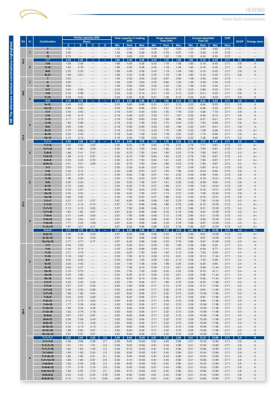

| I<br><b>Service Service</b> |  |
|-----------------------------|--|
| ĺ<br>į                      |  |
| l<br>ļ                      |  |
| <b>Service Service</b>      |  |

| EU       | ۱U             |                                 | Partial capacity (kW<br><b>Total capacity in heating</b><br>(kW)<br><b>Combination</b><br>Room |                          |                          | Power absorbed<br>Total (kW)           |              |              | <b>Current absorbed</b><br>Total (A) |              |              | <b>COP</b>   | <b>SCOP</b>  | <b>Energy class</b> |                |              |            |              |
|----------|----------------|---------------------------------|------------------------------------------------------------------------------------------------|--------------------------|--------------------------|----------------------------------------|--------------|--------------|--------------------------------------|--------------|--------------|--------------|--------------|---------------------|----------------|--------------|------------|--------------|
|          |                |                                 | $\overline{A}$                                                                                 | в                        | ю                        | D                                      | Min          | <b>Nom</b>   | <b>Max</b>                           | Min          | <b>Nom</b>   | <b>Max</b>   | Min          | <b>Nom</b>          | <b>Max</b>     | <b>Nom</b>   |            |              |
| $14 - 2$ |                | $\overline{7}$                  | 2.45                                                                                           |                          |                          |                                        | 1.32         | 2.50         | 2.82                                 | 0.28         | 0.67         | 0.83         | 1.22         | 2.90                | 3.62           | 3.75         |            |              |
|          | 1              | 9<br>12                         | 2.92<br>3.75                                                                                   |                          |                          |                                        | 1.32<br>1.32 | 2.90<br>3.80 | 3.36<br>4.31                         | 0.28<br>0.28 | 0.78<br>1.02 | 0.97<br>1.28 | 1.22<br>1.22 | 3.38<br>4.44        | 4.23<br>5.55   | 3.73<br>3.72 |            |              |
|          |                | $7 + 7$                         | 2.20                                                                                           | 2.20                     |                          |                                        | 1.89         | 4.40         | 5.28                                 | 0.42         | 1.19         | 1.48         | 1.80         | 5.16                | 6.45           | 3.71         | 3.8        | A            |
|          |                | $7 + 9$                         | 1.93                                                                                           | 2.48                     |                          |                                        | 1.89         | 4.40         | 5.28                                 | 0.42         | 1.19         | 1.48         | 1.80         | 5.16                | 6.45           | 3.71         | 3.8        | Α            |
|          | $\overline{2}$ | $7 + 12$<br>$9 + 9$             | 1.62<br>2.20                                                                                   | 2.78<br>2.20             |                          |                                        | 1.89<br>1.89 | 4.40<br>4.40 | 5.28<br>5.28                         | 0.42<br>0.42 | 1.19<br>1.19 | 1.48<br>1.48 | 1.80<br>1.80 | 5.16<br>5.16        | 6.45<br>6.45   | 3.71<br>3.71 | 3.8<br>3.8 | Α<br>Α       |
|          |                | 9+12                            | 1.89                                                                                           | 2.51                     |                          |                                        | 1.89         | 4.40         | 5.28                                 | 0.42         | 1.19         | 1.48         | 1.80         | 5.16                | 6.45           | 3.71         | 3.8        | Α            |
|          |                | $\overline{7}$                  | 2.50                                                                                           |                          |                          |                                        | 1.56         | 2.50         | 3.03                                 | 0.32         | 0.67         | 0.83         | 1.39         | 2.90                | 3.62           | 3.75         |            |              |
|          | ٦              | 9                               | 3.00<br>3.80                                                                                   | $\overline{\phantom{0}}$ |                          |                                        | 1.56         | 3.00         | 3.63                                 | 0.32         | 0.80         | 1.00         | 1.39<br>1.39 | 3.48                | 4.35           | 3.75         | -          |              |
|          |                | 12<br>$7 + 7$                   | 2.50                                                                                           | 2.50                     |                          |                                        | 1.56<br>2.23 | 3.80<br>5.00 | 4.60<br>6.04                         | 0.32<br>0.51 | 1.02<br>1.35 | 1.23<br>2.12 | 2.22         | 4.45<br>5.86        | 5.34<br>9.23   | 3.71<br>3.71 | 3.8        | Α            |
| $18-2$   |                | $7 + 9$                         | 2.32                                                                                           | 2.98                     |                          |                                        | 2.23         | 5.30         | 6.13                                 | 0.51         | 1.43         | 2.12         | 2.22         | 6.21                | 9.23           | 3.71         | 3.8        | A            |
|          | $\overline{2}$ | $7 + 12$<br>$9 + 9$             | 2.03<br>2.79                                                                                   | 3.47<br>2.79             |                          |                                        | 2.23<br>2.23 | 5.50<br>5.57 | 6.36<br>6.68                         | 0.51<br>0.51 | 1.48<br>1.50 | 2.12<br>2.12 | 2.22<br>2.22 | 6.45<br>6.53        | 9.23<br>9.23   | 3.71<br>3.71 | 3.8<br>3.8 | Α<br>А       |
|          |                | $9 + 12$                        | 2.40                                                                                           | 3.20                     |                          |                                        | 2.23         | 5.60         | 6.68                                 | 0.51         | 1.51         | 2.12         | 2.22         | 6.56                | 9.23           | 3.71         | 3.8        | Α            |
|          |                | $12 + 12$                       | 2.80                                                                                           | 2.80                     |                          |                                        | 2.23         | 5.60         | 6.96                                 | 0.51         | 1.51         | 2.12         | 2.22         | 6.56                | 9.23           | 3.71         | 3.8        | Α            |
|          |                | $7 + 7$                         | 2.50<br>2.45                                                                                   | 2.50<br>3.15             |                          |                                        | 2.18<br>2.18 | 5.00         | 5.94                                 | 0.53         | 1.35         | 1.78         | 2.32<br>2.32 | 5.86                | 7.73<br>8.12   | 3.71         | 3.8<br>3.8 | Α<br>A       |
|          |                | $7 + 9$<br>$7 + 12$             | 2.17                                                                                           | 3.73                     |                          |                                        | 2.18         | 5.60<br>5.90 | 6.27<br>6.60                         | 0.53<br>0.53 | 1.51<br>1.59 | 1.87<br>1.96 | 2.32         | 6.56<br>6.91        | 8.51           | 3.71<br>3.71 | 3.8        | Α            |
|          | $\overline{2}$ | $7 + 18$                        | 1.82                                                                                           | 4.68                     |                          |                                        | 2.18         | 6.50         | 7.39                                 | 0.53         | 1.75         | 2.05         | 2.32         | 7.62                | 8.89           | 3.71         | 3.8        | A+           |
|          |                | $9 + 9$                         | 2.95                                                                                           | 2.95                     |                          |                                        | 2.18         | 5.90         | 6.93                                 | 0.53         | 1.59         | 1.96         | 2.32         | 6.91                | 8.51           | 3.71         | 3.8        | Α            |
|          |                | $9 + 12$<br>$9 + 18$            | 2.70<br>2.20                                                                                   | 3.60<br>4.40             |                          |                                        | 2.18<br>2.18 | 6.30<br>6.60 | 7.13<br>7.39                         | 0.53<br>0.53 | 1.70<br>1.78 | 1.99<br>2.05 | 2.32<br>2.32 | 7.38<br>7.73        | 8.66<br>8.89   | 3.71<br>3.71 | 3.8<br>3.8 | $A+$<br>$A+$ |
| $21 - 3$ |                | $12 + 12$                       | 3.15                                                                                           | 3.15                     | $\overline{\phantom{0}}$ |                                        | 2.18         | 6.30         | 7.39                                 | 0.53         | 1.70         | 2.05         | 2.32         | 7.38                | 8.89           | 3.71         | 3.8        | $A+$         |
|          |                | $7 + 7 + 7$                     | 2.20                                                                                           | 2.20                     | 2.20                     |                                        | 2.35         | 6.60         | 7.79                                 | 0.64         | 1.78         | 2.22         | 2.78         | 7.73                | 9.67           | 3.71         | 4.0        | $A+$         |
|          |                | $7 + 7 + 9$<br>$7 + 7 + 12$     | 2.02<br>1.80                                                                                   | 2.02<br>1.80             | 2.60<br>3.09             | $\overline{\phantom{0}}$               | 2.35<br>2.35 | 6.65<br>6.70 | 7.79<br>7.92                         | 0.64<br>0.64 | 1.79<br>1.80 | 2.22<br>2.22 | 2.78<br>2.78 | 7.77<br>7.83        | 9.67<br>9.67   | 3.72<br>3.72 | 4.0<br>4.0 | $A+$<br>$A+$ |
|          | 3              | $7 + 9 + 9$                     | 1.88                                                                                           | 2.41                     | 2.41                     |                                        | 2.35         | 6.70         | 7.92                                 | 0.64         | 1.80         | 2.22         | 2.78         | 7.83                | 9.67           | 3.72         | 4.0        | $A+$         |
|          |                | $7 + 9 + 12$                    | 1.68                                                                                           | 2.15                     | 2.87                     |                                        | 2.35         | 6.70         | 7.92                                 | 0.64         | 1.80         | 2.22         | 2.78         | 7.83                | 9.67           | 3.72         | 4.0        | $A+$         |
|          |                | $9 + 9 + 9$<br>$9 + 9 + 12$     | 2.23<br>2.01                                                                                   | 2.23<br>2.01             | 2.23<br>2.68             |                                        | 2.35<br>2.35 | 6.70<br>6.70 | 7.92<br>7.92                         | 0.64<br>0.64 | 1.81<br>1.80 | 2.22<br>2.22 | 2.78<br>2.78 | 7.85<br>7.83        | 9.67<br>9.67   | 3.71<br>3.72 | 4.0<br>4.0 | $A+$<br>$A+$ |
|          |                | $7 + 7$                         | 2.50                                                                                           | 2.50                     |                          |                                        | 2.30         | 5.00         | 6.56                                 | 0.57         | 1.34         | 1.87         | 2.49         | 5.83                | 8.12           | 3.73         | 3.8        | Α            |
|          |                | $7 + 9$                         | 2.45                                                                                           | 3.15                     |                          |                                        | 2.30         | 5.60         | 6.97                                 | 0.57         | 1.50         | 1.98         | 2.49         | 6.53                | 8.60           | 3.73         | 3.8        | Α            |
|          |                | $7 + 12$<br>$7 + 18$            | 2.21<br>1.96                                                                                   | 3.79<br>5.04             |                          |                                        | 2.30<br>2.30 | 6.00<br>7.00 | 7.38<br>8.20                         | 0.57<br>0.57 | 1.61<br>1.88 | 2.20<br>2.42 | 2.49<br>2.49 | 6.99<br>8.16        | 9.56<br>10.51  | 3.73<br>3.73 | 3.8<br>3.8 | Α<br>A       |
|          | $\overline{2}$ | $9 + 9$                         | 3.00                                                                                           | 3.00                     |                          |                                        | 2.30         | 6.00         | 7.38                                 | 0.57         | 1.61         | 2.20         | 2.49         | 6.99                | 9.56           | 3.73         | 3.8        | A            |
|          |                | $9 + 12$                        | 2.70                                                                                           | 3.60                     |                          |                                        | 2.30         | 6.30         | 7.79                                 | 0.57         | 1.69         | 2.31         | 2.49         | 7.34                | 10.04          | 3.73         | 3.8        | Α            |
|          |                | $9 + 18$<br>$12 + 12$           | 2.33<br>3.25                                                                                   | 4.67<br>3.25             |                          |                                        | 2.30<br>2.30 | 7.00<br>6.50 | 8.20<br>7.95                         | 0.57<br>0.57 | 1.88<br>1.74 | 2.42<br>2.37 | 2.49<br>2.49 | 8.16<br>7.58        | 10.51<br>10.32 | 3.73<br>3.73 | 3.8<br>3.8 | A<br>Α       |
|          |                | $12 + 18$                       | 2.80                                                                                           | 4.20                     |                          |                                        | 2.30         | 7.00         | 8.20                                 | 0.57         | 1.88         | 2.42         | 2.49         | 8.16                | 10.51          | 3.73         | 3.8        | Α            |
|          |                | $7 + 7 + 7$                     | 2.27                                                                                           | 2.27                     | 2.27                     |                                        | 2.87         | 6.80         | 9.96                                 | 0.68         | 1.82         | 2.78         | 2.96         | 7.93                | 12.09          | 3.73         | 4.0        | A+           |
| $27-3$   |                | $7 + 7 + 9$<br>$7 + 7 + 12$     | 2.13<br>2.13                                                                                   | 2.13<br>2.13             | 2.74<br>3.65             |                                        | 2.87<br>2.87 | 7.00<br>7.90 | 9.96<br>9.96                         | 0.68<br>0.68 | 1.88<br>2.12 | 2.78<br>2.78 | 2.96<br>2.96 | 8.16<br>9.21        | 12.09<br>12.09 | 3.73<br>3.73 | 4.0<br>4.0 | A+<br>$A+$   |
|          |                | $7 + 7 + 18$                    | 1.82                                                                                           | 1.82                     | 4.67                     |                                        | 2.87         | 8.30         | 9.96                                 | 0.68         | 2.23         | 2.78         | 2.96         | 9.67                | 12.09          | 3.73         | 4.0        | $A+$         |
|          |                | $7 + 9 + 9$                     | 2.21                                                                                           | 2.84                     | 2.84                     |                                        | 2.87         | 7.90         | 9.96                                 | 0.68         | 2.12         | 2.78         | 2.96         | 9.21                | 12.09          | 3.73         | 4.0        | A+           |
|          | 3              | $7 + 9 + 12$<br>$7 + 9 + 18$    | 2.05<br>1.71                                                                                   | 2.64<br>2.20             | 3.51<br>4.39             |                                        | 2.87<br>2.87 | 8.20<br>8.30 | 9.96<br>9.96                         | 0.68<br>0.68 | 2.20<br>2.23 | 2.78<br>2.78 | 2.96<br>2.96 | 9.56<br>9.67        | 12.09<br>12.09 | 3.73<br>3.73 | 4.0<br>4.0 | A+<br>$A+$   |
|          |                | $7 + 12 + 12$                   | 1.87                                                                                           | 3.21                     | 3.21                     |                                        | 2.87         | 8.30         | 9.96                                 | 0.68         | 2.23         | 2.78         | 2.96         | 9.67                | 12.09          | 3.73         | 4.0        | $A+$         |
|          |                | $9 + 9 + 9$<br>$9 + 9 + 12$     | 2.73                                                                                           | 2.73                     | 2.73                     |                                        | 2.87<br>2.87 | 8.20         | 9.96                                 | 0.68         | 2.20         | 2.78         | 2.96         | 9.56                | 12.09          | 3.73         | 4.0<br>4.0 | A+           |
|          |                | $9+12+12$                       | 2.49<br>2.26                                                                                   | 2.49<br>3.02             | 3.32<br>3.02             |                                        | 2.87         | 8.30<br>8.30 | 9.96<br>9.96                         | 0.68<br>0.68 | 2.23<br>2.23 | 2.78<br>2.78 | 2.96<br>2.96 | 9.67<br>9.67        | 12.09<br>12.09 | 3.73<br>3.73 | 4.0        | $A+$<br>$A+$ |
|          |                | $12 + 12 + 12$                  | 2.77                                                                                           | 2.77                     | 2.77                     |                                        | 2.87         | 8.30         | 9.96                                 | 0.68         | 2.23         | 2.78         | 2.96         | 9.67                | 12.09          | 3.73         | 4.0        | $A+$         |
|          |                | $7 + 7$<br>$7 + 9$              | 2.50<br>2.45                                                                                   | 2.50<br>3.15             |                          | $\overline{\phantom{m}}$               | 2.20<br>2.20 | 5.00<br>5.60 | 6.51<br>6.86                         | 0.59<br>0.59 | 1.35<br>1.51 | 1.90<br>2.02 | 2.58<br>2.58 | 5.86<br>6.56        | 8.25<br>8.77   | 3.71<br>3.71 | 3.4<br>3.4 | Α<br>Α       |
|          |                | $7 + 12$                        | 2.21                                                                                           | 3.79                     |                          |                                        | 2.20         | 6.00         | 7.30                                 | 0.59         | 1.62         | 2.13         | 2.58         | 7.03                | 9.28           | 3.71         | 3.4        | A            |
|          |                | $7 + 18$                        | 2.18                                                                                           | 5.62                     |                          |                                        | 2.20         | 7.80         | 8.10                                 | 0.59         | 2.10         | 2.61         | 2.58         | 9.14                | 11.34          | 3.71         | 3.4        | Α            |
|          | $\mathbf 2$    | $9 + 9$<br>$9 + 12$             | 3.00<br>3.00                                                                                   | 3.00<br>4.00             |                          |                                        | 2.20<br>2.20 | 6.00<br>7.00 | 7.30<br>7.48                         | 0.59<br>0.59 | 1.62<br>1.89 | 2.13<br>2.25 | 2.58<br>2.58 | 7.03<br>8.20        | 9.28<br>9.80   | 3.71<br>3.71 | 3.4<br>3.4 | Α<br>Α       |
|          |                | $9 + 18$                        | 2.63                                                                                           | 5.27                     |                          |                                        | 2.20         | 7.90         | 8.10                                 | 0.59         | 2.13         | 2.61         | 2.58         | 9.26                | 11.34          | 3.71         | 3.4        | Α            |
|          |                | $12 + 12$                       | 3.75                                                                                           | 3.75                     |                          |                                        | 2.20         | 7.50         | 7.92                                 | 0.59         | 2.02         | 2.32         | 2.58         | 8.79                | 10.11          | 3.71         | 3.4        | Α            |
|          |                | $12 + 18$<br>$18 + 18$          | 3.20<br>4.00                                                                                   | 4.80<br>4.00             | $\qquad \qquad -$        | $\qquad \qquad -$<br>$\qquad \qquad -$ | 2.20<br>2.20 | 8.00<br>8.00 | 8.10<br>8.10                         | 0.59<br>0.59 | 2.16<br>2.16 | 2.61<br>2.61 | 2.58<br>2.58 | 9.38<br>9.38        | 11.34<br>11.34 | 3.71<br>3.71 | 3.4<br>3.4 | Α<br>Α       |
| $28 - 4$ |                | $7 + 7 + 7$                     | 2.33                                                                                           | 2.33                     | 2.33                     |                                        | 2.82         | 7.00         | 9.06                                 | 0.71         | 1.89         | 2.75         | 3.09         | 8.20                | 11.96          | 3.71         | 3.5        | Α            |
|          |                | $7 + 7 + 9$<br>$7 + 7 + 12$     | 2.37<br>2.26                                                                                   | 2.37<br>2.26             | 3.05<br>3.88             | $\qquad \qquad -$<br>$\qquad \qquad -$ | 2.82<br>2.82 | 7.80<br>8.40 | 9.06<br>9.06                         | 0.71<br>0.71 | 2.10<br>2.26 | 2.75<br>2.75 | 3.09<br>3.09 | 9.14<br>9.84        | 11.96          | 3.71<br>3.71 | 3.5<br>3.5 | Α            |
|          |                | $7 + 7 + 18$                    | 1.88                                                                                           | 1.88                     | 4.84                     |                                        | 2.82         | 8.60         | 9.06                                 | 0.71         | 2.32         | 2.75         | 3.09         | 10.08               | 11.96<br>11.96 | 3.71         | 3.5        | Α<br>Α       |
|          |                | $7 + 9 + 9$                     | 2.35                                                                                           | 3.02                     | 2.68                     | $\overline{\phantom{0}}$               | 2.82         | 8.40         | 9.06                                 | 0.71         | 2.26         | 2.75         | 3.09         | 9.84                | 11.96          | 3.71         | 3.5        | Α            |
|          |                | $7 + 9 + 12$<br>$7 + 9 + 18$    | 2.13<br>1.77                                                                                   | 2.73<br>2.28             | 3.64<br>4.55             | $\qquad \qquad -$                      | 2.82<br>2.82 | 8.50<br>8.60 | 9.06<br>9.06                         | 0.71<br>0.71 | 2.29<br>2.32 | 2.75<br>2.75 | 3.09<br>3.09 | 9.96<br>10.08       | 11.96<br>11.96 | 3.71<br>3.71 | 3.5<br>3.5 | Α<br>A       |
|          | 3              | $7 + 12 + 12$                   | 1.94                                                                                           | 3.33                     | 3.33                     | $\qquad \qquad -$                      | 2.82         | 8.60         | 9.06                                 | 0.71         | 2.32         | 2.75         | 3.09         | 10.08               | 11.96          | 3.71         | 3.5        | Α            |
|          |                | $7 + 12 + 18$                   | 1.63                                                                                           | 2.79                     | 4.18                     |                                        | 2.82         | 8.60         | 9.06                                 | 0.71         | 2.32         | 2.75         | 3.09         | 10.08               | 11.96          | 3.71         | 3.5        | Α            |
|          |                | $9 + 9 + 9$<br>$9 + 9 + 12$     | 2.87<br>2.58                                                                                   | 2.87<br>2.58             | 2.87<br>3.44             | $\qquad \qquad -$                      | 2.82<br>2.82 | 8.60<br>8.60 | 9.06<br>9.06                         | 0.71<br>0.71 | 2.32<br>2.32 | 2.75<br>2.75 | 3.09<br>3.09 | 10.08<br>10.08      | 11.96<br>11.96 | 3.71<br>3.71 | 3.5<br>3.5 | A<br>Α       |
|          |                | $9 + 9 + 18$                    | 2.15                                                                                           | 2.15                     | 4.30                     |                                        | 2.82         | 8.60         | 9.06                                 | 0.71         | 2.32         | 2.75         | 3.09         | 10.08               | 11.96          | 3.71         | 3.5        | Α            |
|          |                | $9 + 12 + 12$                   | 2.35                                                                                           | 3.13                     | 3.13                     | $\qquad \qquad -$                      | 2.82         | 8.60         | 9.06                                 | 0.71         | 2.32         | 2.75         | 3.09         | 10.08               | 11.96          | 3.71         | 3.5        | Α            |
|          |                | $9 + 12 + 18$<br>$12 + 12 + 12$ | 1.98<br>2.87                                                                                   | 2.65<br>2.87             | 3.97<br>2.87             | $\overline{\phantom{0}}$               | 2.82<br>2.82 | 8.60<br>8.60 | 9.06<br>9.06                         | 0.71<br>0.71 | 2.32<br>2.32 | 2.75<br>2.75 | 3.09<br>3.09 | 10.08<br>10.08      | 11.96<br>11.96 | 3.71<br>3.71 | 3.5<br>3.5 | Α<br>Α       |
|          |                | $7 + 7 + 7 + 7$                 | 2.20                                                                                           | 2.20                     | 2.20                     | 2.2                                    | 3.08         | 8.80         | 10.65                                | 0.81         | 2.37         | 2.96         | 3.51         | 10.31               | 12.89          | 3.71         | 3.8        | A            |
|          |                | $7 + 7 + 7 + 9$                 | 2.08                                                                                           | 2.08                     | 2.08                     | 2.7                                    | 3.08         | 8.90         | 10.65                                | 0.81         | 2.40         | 2.96         | 3.51         | 10.43               | 12.89          | 3.71         | 3.8        | Α            |
|          |                | $7+7+7+12$<br>$7+7+7+18$        | 1.91<br>1.63                                                                                   | 1.91<br>1.63             | 1.91<br>1.63             | 3.3<br>4.2                             | 3.08<br>3.08 | 9.00<br>9.10 | 10.65<br>10.65                       | 0.81<br>0.81 | 2.43<br>2.45 | 2.96<br>2.96 | 3.51<br>3.51 | 10.55<br>10.66      | 12.89<br>12.89 | 3.71<br>3.71 | 3.8<br>3.8 | Α<br>Α       |
|          |                | $7 + 7 + 9 + 9$                 | 1.95                                                                                           | 1.95                     | 2.50                     | 2.5                                    | 3.08         | 8.90         | 10.65                                | 0.81         | 2.40         | 2.96         | 3.51         | 10.43               | 12.89          | 3.71         | 3.8        | Α            |
|          | $\overline{4}$ | $7+7+9+12$                      | 1.80                                                                                           | 1.80                     | 2.31                     | 3.1                                    | 3.08         | 9.00         | 10.65                                | 0.81         | 2.43         | 2.96         | 3.51         | 10.55               | 12.89          | 3.71         | 3.8        | Α            |
|          |                | $7+7+12+12$<br>$7 + 9 + 9 + 9$  | 1.68<br>1.83                                                                                   | 1.68<br>2.36             | 2.87<br>2.36             | 2.9<br>2.4                             | 3.08<br>3.08 | 9.10<br>8.90 | 10.65<br>10.65                       | 0.81<br>0.81 | 2.45<br>2.40 | 2.96<br>2.96 | 3.51<br>3.51 | 10.66<br>10.43      | 12.89<br>12.89 | 3.71<br>3.71 | 3.8<br>3.8 | Α<br>Α       |
|          |                | $7 + 9 + 9 + 12$                | 1.70                                                                                           | 2.19                     | 2.19                     | 2.9                                    | 3.08         | 9.00         | 10.65                                | 0.81         | 2.43         | 2.96         | 3.51         | 10.55               | 12.89          | 3.71         | 3.8        | Α            |
|          |                | $7 + 9 + 12 + 12$               | 1.59                                                                                           | 2.05                     | 2.73                     | 2.7                                    | 3.08         | 9.10         | 10.65                                | 0.81         | 2.45         | 2.96         | 3.51         | 10.66               | 12.89          | 3.71         | 3.8        | Α            |
|          |                | $9 + 9 + 9 + 9$<br>$9+9+9+12$   | 2.23<br>2.10                                                                                   | 2.23<br>2.10             | 2.23<br>2.10             | 2.23<br>2.80                           | 3.08<br>3.08 | 8.90<br>9.10 | 10.65<br>10.65                       | 0.81<br>0.81 | 2.40<br>2.45 | 2.96<br>2.96 | 3.51<br>3.51 | 10.43<br>10.66      | 12.89<br>12.89 | 3.71<br>3.71 | 3.8<br>3.8 | Α<br>Α       |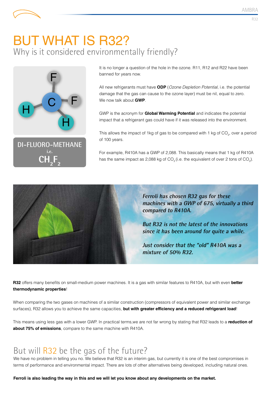## BUT WHAT IS R32? Why is it considered environmentally friendly?



**DI-FLUORO-METHANE i.e. CH2**  $F_{2}$ 

It is no longer a question of the hole in the ozone. R11, R12 and R22 have been banned for years now.

All new refrigerants must have **ODP** (*Ozone Depletion Potential*, i.e. the potential damage that the gas can cause to the ozone layer) must be nil, equal to zero. We now talk about **GWP**.

GWP is the acronym for **Global Warming Potential** and indicates the potential impact that a refrigerant gas could have if it was released into the environment.

This allows the impact of 1kg of gas to be compared with 1 kg of CO<sub>2</sub>, over a period of 100 years.

For example, R410A has a GWP of 2,088. This basically means that 1 kg of R410A has the same impact as 2,088 kg of CO<sub>2</sub> (i.e. the equivalent of over 2 tons of CO<sub>2</sub>).



**Ferroli has chosen R32 gas for these machines with a GWP of 675, virtually a third compared to R410A.**

**But R32 is not the latest of the innovations since it has been around for quite a while.**

**Just consider that the "old" R410A was a mixture of 50% R32.**

**R32** offers many benefits on small-medium power machines. It is a gas with similar features to R410A, but with even **better thermodynamic properties**!

When comparing the two gases on machines of a similar construction (compressors of equivalent power and similar exchange surfaces), R32 allows you to achieve the same capacities, **but with greater efficiency and a reduced refrigerant load**!

This means using less gas with a lower GWP. In practical terms,we are not far wrong by stating that R32 leads to a **reduction of about 75% of emissions**, compare to the same machine with R410A.

### But will R32 be the gas of the future?

We have no problem in telling you no. We believe that R32 is an interim gas, but currently it is one of the best compromises in terms of performance and environmental impact. There are lots of other alternatives being developed, including natural ones.

**Ferroli is also leading the way in this and we will let you know about any developments on the market.**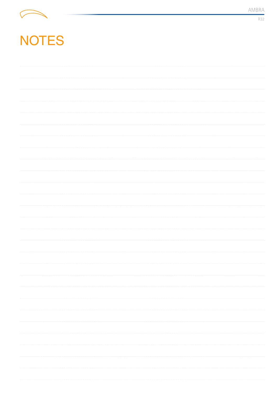

R32

# NOTES